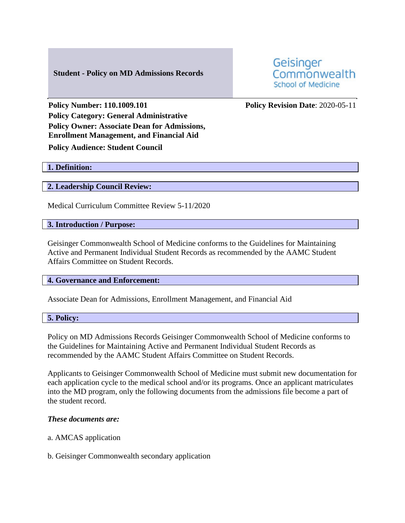# **Student - Policy on MD Admissions Records**

Geisinger Commonwealth **School of Medicine** 

**Policy Number: 110.1009.101 Policy Revision Date**: 2020-05-11 **Policy Category: General Administrative Policy Owner: Associate Dean for Admissions, Enrollment Management, and Financial Aid Policy Audience: Student Council**

## **1. Definition:**

### **2. Leadership Council Review:**

Medical Curriculum Committee Review 5-11/2020

#### **3. Introduction / Purpose:**

Geisinger Commonwealth School of Medicine conforms to the Guidelines for Maintaining Active and Permanent Individual Student Records as recommended by the AAMC Student Affairs Committee on Student Records.

# **4. Governance and Enforcement:**

Associate Dean for Admissions, Enrollment Management, and Financial Aid

### **5. Policy:**

Policy on MD Admissions Records Geisinger Commonwealth School of Medicine conforms to the Guidelines for Maintaining Active and Permanent Individual Student Records as recommended by the AAMC Student Affairs Committee on Student Records.

Applicants to Geisinger Commonwealth School of Medicine must submit new documentation for each application cycle to the medical school and/or its programs. Once an applicant matriculates into the MD program, only the following documents from the admissions file become a part of the student record.

#### *These documents are:*

#### a. AMCAS application

b. Geisinger Commonwealth secondary application